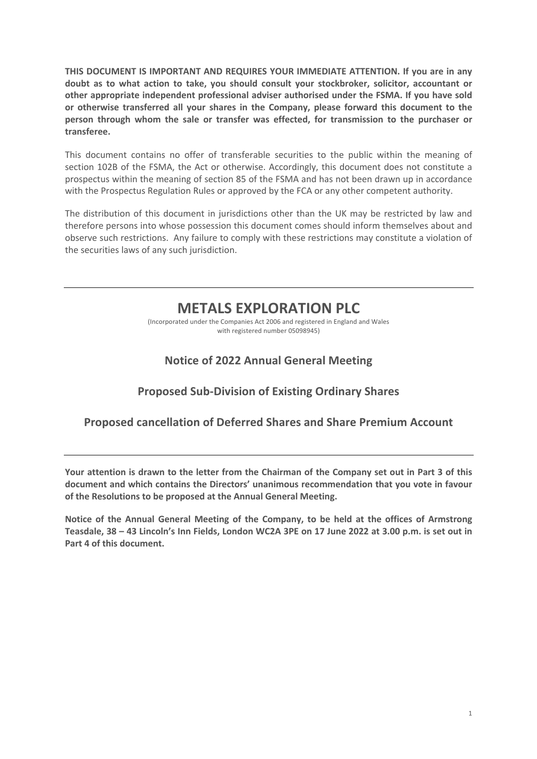**THIS DOCUMENT IS IMPORTANT AND REQUIRES YOUR IMMEDIATE ATTENTION. If you are in any doubt as to what action to take, you should consult your stockbroker, solicitor, accountant or other appropriate independent professional adviser authorised under the FSMA. If you have sold or otherwise transferred all your shares in the Company, please forward this document to the person through whom the sale or transfer was effected, for transmission to the purchaser or transferee.**

This document contains no offer of transferable securities to the public within the meaning of section 102B of the FSMA, the Act or otherwise. Accordingly, this document does not constitute a prospectus within the meaning of section 85 of the FSMA and has not been drawn up in accordance with the Prospectus Regulation Rules or approved by the FCA or any other competent authority.

The distribution of this document in jurisdictions other than the UK may be restricted by law and therefore persons into whose possession this document comes should inform themselves about and observe such restrictions. Any failure to comply with these restrictions may constitute a violation of the securities laws of any such jurisdiction.

# **METALS EXPLORATION PLC**

(Incorporated under the Companies Act 2006 and registered in England and Wales with registered number 05098945)

## **Notice of 2022 Annual General Meeting**

## **Proposed Sub-Division of Existing Ordinary Shares**

## **Proposed cancellation of Deferred Shares and Share Premium Account**

**Your attention is drawn to the letter from the Chairman of the Company set out in Part 3 of this document and which contains the Directors' unanimous recommendation that you vote in favour of the Resolutions to be proposed at the Annual General Meeting.**

**Notice of the Annual General Meeting of the Company, to be held at the offices of Armstrong Teasdale, 38 – 43 Lincoln's Inn Fields, London WC2A 3PE on 17 June 2022 at 3.00 p.m. is set out in Part 4 of this document.**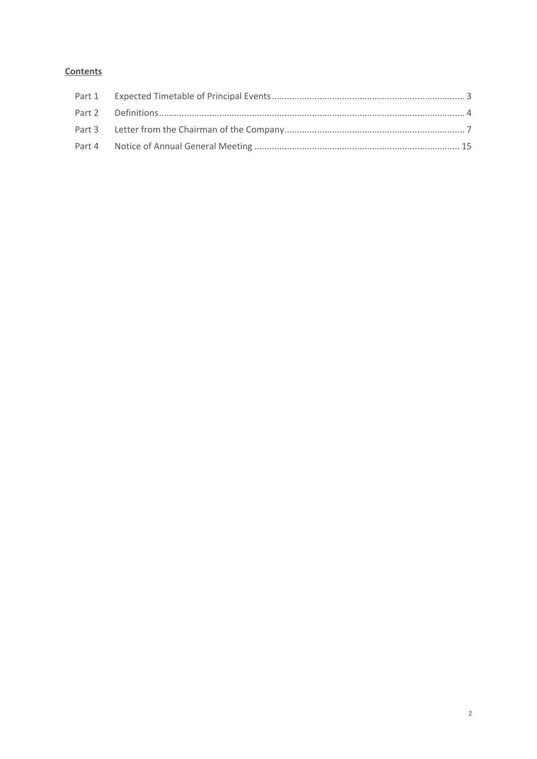### Contents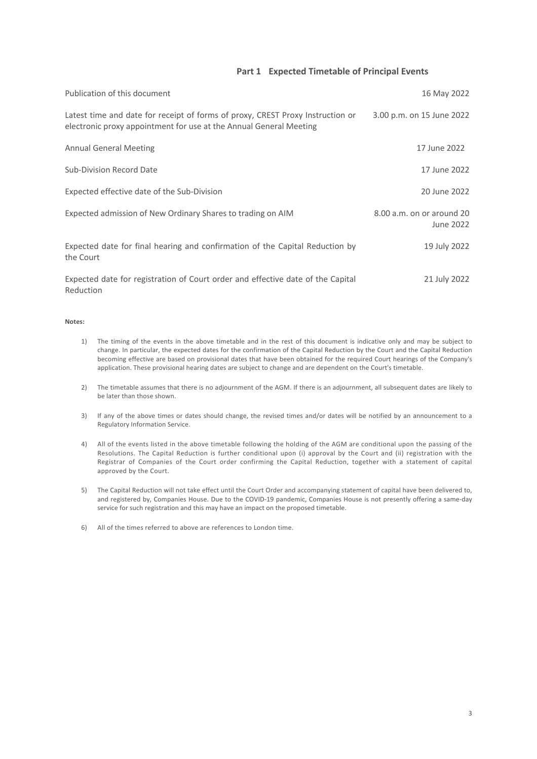#### **Part 1 Expected Timetable of Principal Events**

| Publication of this document                                                                                                                         | 16 May 2022                            |
|------------------------------------------------------------------------------------------------------------------------------------------------------|----------------------------------------|
| Latest time and date for receipt of forms of proxy, CREST Proxy Instruction or<br>electronic proxy appointment for use at the Annual General Meeting | 3.00 p.m. on 15 June 2022              |
| <b>Annual General Meeting</b>                                                                                                                        | 17 June 2022                           |
| Sub-Division Record Date                                                                                                                             | 17 June 2022                           |
| Expected effective date of the Sub-Division                                                                                                          | 20 June 2022                           |
| Expected admission of New Ordinary Shares to trading on AIM                                                                                          | 8.00 a.m. on or around 20<br>June 2022 |
| Expected date for final hearing and confirmation of the Capital Reduction by<br>the Court                                                            | 19 July 2022                           |
| Expected date for registration of Court order and effective date of the Capital<br>Reduction                                                         | 21 July 2022                           |

#### **Notes:**

- 1) The timing of the events in the above timetable and in the rest of this document is indicative only and may be subject to change. In particular, the expected dates for the confirmation of the Capital Reduction by the Court and the Capital Reduction becoming effective are based on provisional dates that have been obtained for the required Court hearings of the Company's application. These provisional hearing dates are subject to change and are dependent on the Court's timetable.
- 2) The timetable assumes that there is no adjournment of the AGM. If there is an adjournment, all subsequent dates are likely to be later than those shown.
- 3) If any of the above times or dates should change, the revised times and/or dates will be notified by an announcement to a Regulatory Information Service.
- 4) All of the events listed in the above timetable following the holding of the AGM are conditional upon the passing of the Resolutions. The Capital Reduction is further conditional upon (i) approval by the Court and (ii) registration with the Registrar of Companies of the Court order confirming the Capital Reduction, together with a statement of capital approved by the Court.
- 5) The Capital Reduction will not take effect until the Court Order and accompanying statement of capital have been delivered to, and registered by, Companies House. Due to the COVID-19 pandemic, Companies House is not presently offering a same-day service for such registration and this may have an impact on the proposed timetable.
- 6) All of the times referred to above are references to London time.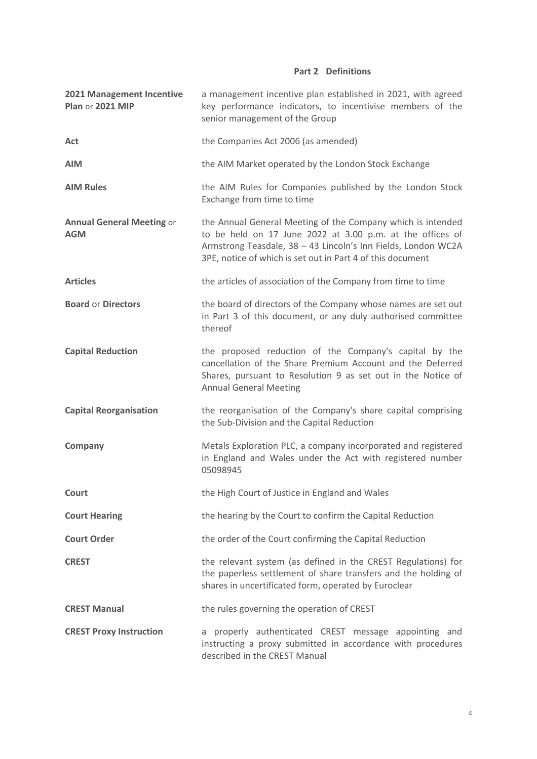#### **Part 2 Definitions**

| 2021 Management Incentive<br>Plan or 2021 MIP  | a management incentive plan established in 2021, with agreed<br>key performance indicators, to incentivise members of the<br>senior management of the Group                                                                                             |
|------------------------------------------------|---------------------------------------------------------------------------------------------------------------------------------------------------------------------------------------------------------------------------------------------------------|
| Act                                            | the Companies Act 2006 (as amended)                                                                                                                                                                                                                     |
| <b>AIM</b>                                     | the AIM Market operated by the London Stock Exchange                                                                                                                                                                                                    |
| <b>AIM Rules</b>                               | the AIM Rules for Companies published by the London Stock<br>Exchange from time to time                                                                                                                                                                 |
| <b>Annual General Meeting or</b><br><b>AGM</b> | the Annual General Meeting of the Company which is intended<br>to be held on 17 June 2022 at 3.00 p.m. at the offices of<br>Armstrong Teasdale, 38 - 43 Lincoln's Inn Fields, London WC2A<br>3PE, notice of which is set out in Part 4 of this document |
| <b>Articles</b>                                | the articles of association of the Company from time to time                                                                                                                                                                                            |
| <b>Board or Directors</b>                      | the board of directors of the Company whose names are set out<br>in Part 3 of this document, or any duly authorised committee<br>thereof                                                                                                                |
| <b>Capital Reduction</b>                       | the proposed reduction of the Company's capital by the<br>cancellation of the Share Premium Account and the Deferred<br>Shares, pursuant to Resolution 9 as set out in the Notice of<br><b>Annual General Meeting</b>                                   |
| <b>Capital Reorganisation</b>                  | the reorganisation of the Company's share capital comprising<br>the Sub-Division and the Capital Reduction                                                                                                                                              |
| Company                                        | Metals Exploration PLC, a company incorporated and registered<br>in England and Wales under the Act with registered number<br>05098945                                                                                                                  |
| Court                                          | the High Court of Justice in England and Wales                                                                                                                                                                                                          |
| <b>Court Hearing</b>                           | the hearing by the Court to confirm the Capital Reduction                                                                                                                                                                                               |
| <b>Court Order</b>                             | the order of the Court confirming the Capital Reduction                                                                                                                                                                                                 |
| <b>CREST</b>                                   | the relevant system (as defined in the CREST Regulations) for<br>the paperless settlement of share transfers and the holding of<br>shares in uncertificated form, operated by Euroclear                                                                 |
| <b>CREST Manual</b>                            | the rules governing the operation of CREST                                                                                                                                                                                                              |
| <b>CREST Proxy Instruction</b>                 | a properly authenticated CREST message appointing and<br>instructing a proxy submitted in accordance with procedures<br>described in the CREST Manual                                                                                                   |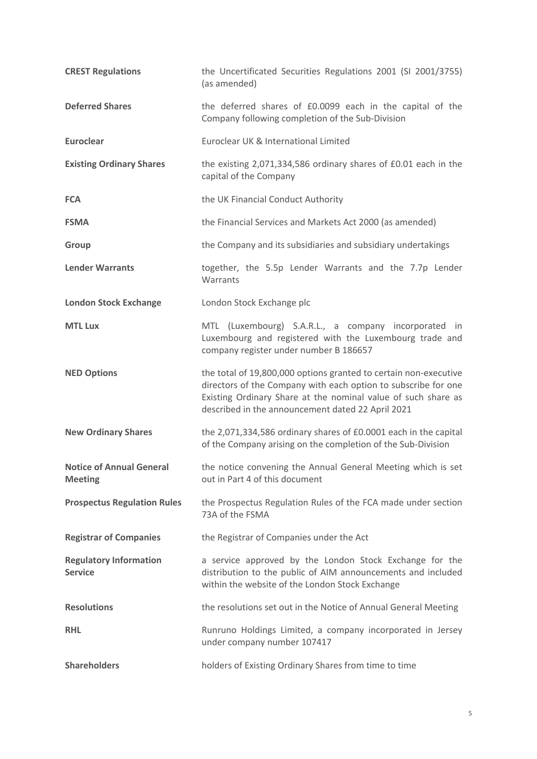| <b>CREST Regulations</b>                          | the Uncertificated Securities Regulations 2001 (SI 2001/3755)<br>(as amended)                                                                                                                                                                            |
|---------------------------------------------------|----------------------------------------------------------------------------------------------------------------------------------------------------------------------------------------------------------------------------------------------------------|
| <b>Deferred Shares</b>                            | the deferred shares of £0.0099 each in the capital of the<br>Company following completion of the Sub-Division                                                                                                                                            |
| <b>Euroclear</b>                                  | Euroclear UK & International Limited                                                                                                                                                                                                                     |
| <b>Existing Ordinary Shares</b>                   | the existing 2,071,334,586 ordinary shares of £0.01 each in the<br>capital of the Company                                                                                                                                                                |
| <b>FCA</b>                                        | the UK Financial Conduct Authority                                                                                                                                                                                                                       |
| <b>FSMA</b>                                       | the Financial Services and Markets Act 2000 (as amended)                                                                                                                                                                                                 |
| Group                                             | the Company and its subsidiaries and subsidiary undertakings                                                                                                                                                                                             |
| <b>Lender Warrants</b>                            | together, the 5.5p Lender Warrants and the 7.7p Lender<br>Warrants                                                                                                                                                                                       |
| <b>London Stock Exchange</b>                      | London Stock Exchange plc                                                                                                                                                                                                                                |
| <b>MTL Lux</b>                                    | MTL (Luxembourg) S.A.R.L., a company incorporated in<br>Luxembourg and registered with the Luxembourg trade and<br>company register under number B 186657                                                                                                |
| <b>NED Options</b>                                | the total of 19,800,000 options granted to certain non-executive<br>directors of the Company with each option to subscribe for one<br>Existing Ordinary Share at the nominal value of such share as<br>described in the announcement dated 22 April 2021 |
| <b>New Ordinary Shares</b>                        | the 2,071,334,586 ordinary shares of £0.0001 each in the capital<br>of the Company arising on the completion of the Sub-Division                                                                                                                         |
| <b>Notice of Annual General</b><br><b>Meeting</b> | the notice convening the Annual General Meeting which is set<br>out in Part 4 of this document                                                                                                                                                           |
| <b>Prospectus Regulation Rules</b>                | the Prospectus Regulation Rules of the FCA made under section<br>73A of the FSMA                                                                                                                                                                         |
| <b>Registrar of Companies</b>                     | the Registrar of Companies under the Act                                                                                                                                                                                                                 |
| <b>Regulatory Information</b><br><b>Service</b>   | a service approved by the London Stock Exchange for the<br>distribution to the public of AIM announcements and included<br>within the website of the London Stock Exchange                                                                               |
| <b>Resolutions</b>                                | the resolutions set out in the Notice of Annual General Meeting                                                                                                                                                                                          |
| <b>RHL</b>                                        | Runruno Holdings Limited, a company incorporated in Jersey<br>under company number 107417                                                                                                                                                                |
| <b>Shareholders</b>                               | holders of Existing Ordinary Shares from time to time                                                                                                                                                                                                    |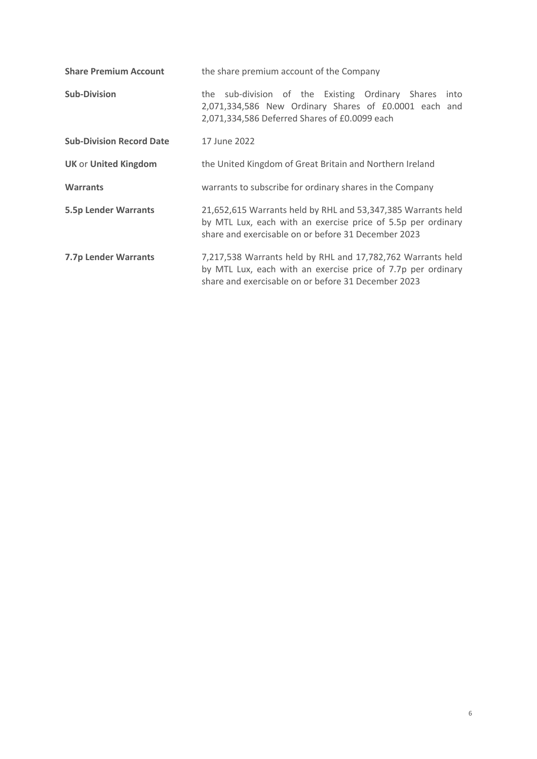| <b>Share Premium Account</b>    | the share premium account of the Company                                                                                                                                            |
|---------------------------------|-------------------------------------------------------------------------------------------------------------------------------------------------------------------------------------|
| <b>Sub-Division</b>             | sub-division of the Existing Ordinary Shares<br>the<br>into<br>2,071,334,586 New Ordinary Shares of £0.0001 each and<br>2,071,334,586 Deferred Shares of £0.0099 each               |
| <b>Sub-Division Record Date</b> | 17 June 2022                                                                                                                                                                        |
| <b>UK or United Kingdom</b>     | the United Kingdom of Great Britain and Northern Ireland                                                                                                                            |
| <b>Warrants</b>                 | warrants to subscribe for ordinary shares in the Company                                                                                                                            |
| <b>5.5p Lender Warrants</b>     | 21,652,615 Warrants held by RHL and 53,347,385 Warrants held<br>by MTL Lux, each with an exercise price of 5.5p per ordinary<br>share and exercisable on or before 31 December 2023 |
| 7.7p Lender Warrants            | 7,217,538 Warrants held by RHL and 17,782,762 Warrants held<br>by MTL Lux, each with an exercise price of 7.7p per ordinary<br>share and exercisable on or before 31 December 2023  |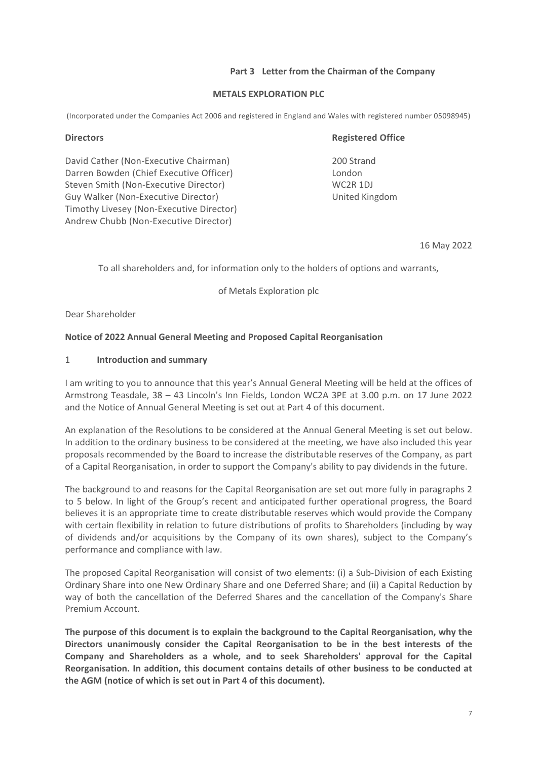#### **Part 3 Letter from the Chairman of the Company**

#### **METALS EXPLORATION PLC**

(Incorporated under the Companies Act 2006 and registered in England and Wales with registered number 05098945)

**Directors Registered Office**

David Cather (Non-Executive Chairman) Darren Bowden (Chief Executive Officer) Steven Smith (Non-Executive Director) Guy Walker (Non-Executive Director) Timothy Livesey (Non-Executive Director) Andrew Chubb (Non-Executive Director)

200 Strand London WC2R 1DJ United Kingdom

16 May 2022

To all shareholders and, for information only to the holders of options and warrants,

of Metals Exploration plc

Dear Shareholder

#### **Notice of 2022 Annual General Meeting and Proposed Capital Reorganisation**

#### 1 **Introduction and summary**

I am writing to you to announce that this year's Annual General Meeting will be held at the offices of Armstrong Teasdale, 38 – 43 Lincoln's Inn Fields, London WC2A 3PE at 3.00 p.m. on 17 June 2022 and the Notice of Annual General Meeting is set out at Part 4 of this document.

An explanation of the Resolutions to be considered at the Annual General Meeting is set out below. In addition to the ordinary business to be considered at the meeting, we have also included this year proposals recommended by the Board to increase the distributable reserves of the Company, as part of a Capital Reorganisation, in order to support the Company's ability to pay dividends in the future.

The background to and reasons for the Capital Reorganisation are set out more fully in paragraphs 2 to 5 below. In light of the Group's recent and anticipated further operational progress, the Board believes it is an appropriate time to create distributable reserves which would provide the Company with certain flexibility in relation to future distributions of profits to Shareholders (including by way of dividends and/or acquisitions by the Company of its own shares), subject to the Company's performance and compliance with law.

The proposed Capital Reorganisation will consist of two elements: (i) a Sub-Division of each Existing Ordinary Share into one New Ordinary Share and one Deferred Share; and (ii) a Capital Reduction by way of both the cancellation of the Deferred Shares and the cancellation of the Company's Share Premium Account.

**The purpose of this document is to explain the background to the Capital Reorganisation, why the Directors unanimously consider the Capital Reorganisation to be in the best interests of the Company and Shareholders as a whole, and to seek Shareholders' approval for the Capital Reorganisation. In addition, this document contains details of other business to be conducted at the AGM (notice of which is set out in Part 4 of this document).**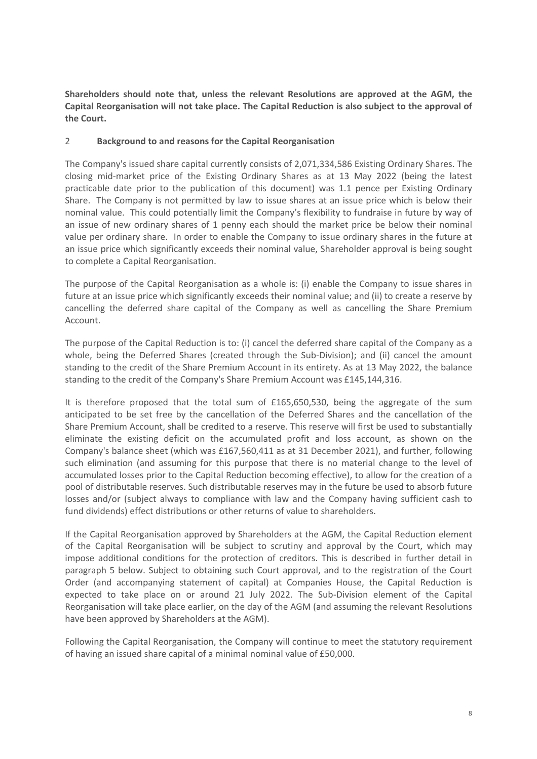**Shareholders should note that, unless the relevant Resolutions are approved at the AGM, the Capital Reorganisation will not take place. The Capital Reduction is also subject to the approval of the Court.**

#### 2 **Background to and reasons for the Capital Reorganisation**

The Company's issued share capital currently consists of 2,071,334,586 Existing Ordinary Shares. The closing mid-market price of the Existing Ordinary Shares as at 13 May 2022 (being the latest practicable date prior to the publication of this document) was 1.1 pence per Existing Ordinary Share. The Company is not permitted by law to issue shares at an issue price which is below their nominal value. This could potentially limit the Company's flexibility to fundraise in future by way of an issue of new ordinary shares of 1 penny each should the market price be below their nominal value per ordinary share. In order to enable the Company to issue ordinary shares in the future at an issue price which significantly exceeds their nominal value, Shareholder approval is being sought to complete a Capital Reorganisation.

The purpose of the Capital Reorganisation as a whole is: (i) enable the Company to issue shares in future at an issue price which significantly exceeds their nominal value; and (ii) to create a reserve by cancelling the deferred share capital of the Company as well as cancelling the Share Premium Account.

The purpose of the Capital Reduction is to: (i) cancel the deferred share capital of the Company as a whole, being the Deferred Shares (created through the Sub-Division); and (ii) cancel the amount standing to the credit of the Share Premium Account in its entirety. As at 13 May 2022, the balance standing to the credit of the Company's Share Premium Account was £145,144,316.

It is therefore proposed that the total sum of £165,650,530, being the aggregate of the sum anticipated to be set free by the cancellation of the Deferred Shares and the cancellation of the Share Premium Account, shall be credited to a reserve. This reserve will first be used to substantially eliminate the existing deficit on the accumulated profit and loss account, as shown on the Company's balance sheet (which was £167,560,411 as at 31 December 2021), and further, following such elimination (and assuming for this purpose that there is no material change to the level of accumulated losses prior to the Capital Reduction becoming effective), to allow for the creation of a pool of distributable reserves. Such distributable reserves may in the future be used to absorb future losses and/or (subject always to compliance with law and the Company having sufficient cash to fund dividends) effect distributions or other returns of value to shareholders.

If the Capital Reorganisation approved by Shareholders at the AGM, the Capital Reduction element of the Capital Reorganisation will be subject to scrutiny and approval by the Court, which may impose additional conditions for the protection of creditors. This is described in further detail in paragraph 5 below. Subject to obtaining such Court approval, and to the registration of the Court Order (and accompanying statement of capital) at Companies House, the Capital Reduction is expected to take place on or around 21 July 2022. The Sub-Division element of the Capital Reorganisation will take place earlier, on the day of the AGM (and assuming the relevant Resolutions have been approved by Shareholders at the AGM).

Following the Capital Reorganisation, the Company will continue to meet the statutory requirement of having an issued share capital of a minimal nominal value of £50,000.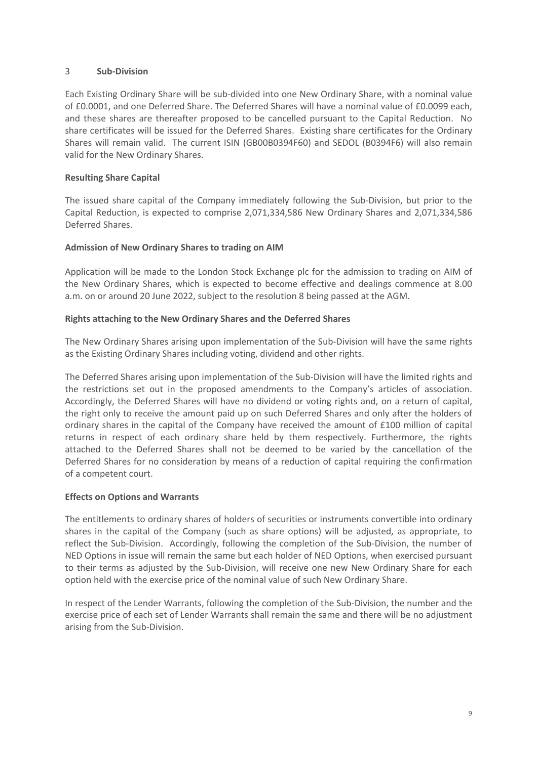#### 3 **Sub-Division**

Each Existing Ordinary Share will be sub-divided into one New Ordinary Share, with a nominal value of £0.0001, and one Deferred Share. The Deferred Shares will have a nominal value of £0.0099 each, and these shares are thereafter proposed to be cancelled pursuant to the Capital Reduction. No share certificates will be issued for the Deferred Shares. Existing share certificates for the Ordinary Shares will remain valid. The current ISIN (GB00B0394F60) and SEDOL (B0394F6) will also remain valid for the New Ordinary Shares.

#### **Resulting Share Capital**

The issued share capital of the Company immediately following the Sub-Division, but prior to the Capital Reduction, is expected to comprise 2,071,334,586 New Ordinary Shares and 2,071,334,586 Deferred Shares.

#### **Admission of New Ordinary Shares to trading on AIM**

Application will be made to the London Stock Exchange plc for the admission to trading on AIM of the New Ordinary Shares, which is expected to become effective and dealings commence at 8.00 a.m. on or around 20 June 2022, subject to the resolution 8 being passed at the AGM.

#### **Rights attaching to the New Ordinary Shares and the Deferred Shares**

The New Ordinary Shares arising upon implementation of the Sub-Division will have the same rights as the Existing Ordinary Shares including voting, dividend and other rights.

The Deferred Shares arising upon implementation of the Sub-Division will have the limited rights and the restrictions set out in the proposed amendments to the Company's articles of association. Accordingly, the Deferred Shares will have no dividend or voting rights and, on a return of capital, the right only to receive the amount paid up on such Deferred Shares and only after the holders of ordinary shares in the capital of the Company have received the amount of £100 million of capital returns in respect of each ordinary share held by them respectively. Furthermore, the rights attached to the Deferred Shares shall not be deemed to be varied by the cancellation of the Deferred Shares for no consideration by means of a reduction of capital requiring the confirmation of a competent court.

#### **Effects on Options and Warrants**

The entitlements to ordinary shares of holders of securities or instruments convertible into ordinary shares in the capital of the Company (such as share options) will be adjusted, as appropriate, to reflect the Sub-Division. Accordingly, following the completion of the Sub-Division, the number of NED Options in issue will remain the same but each holder of NED Options, when exercised pursuant to their terms as adjusted by the Sub-Division, will receive one new New Ordinary Share for each option held with the exercise price of the nominal value of such New Ordinary Share.

In respect of the Lender Warrants, following the completion of the Sub-Division, the number and the exercise price of each set of Lender Warrants shall remain the same and there will be no adjustment arising from the Sub-Division.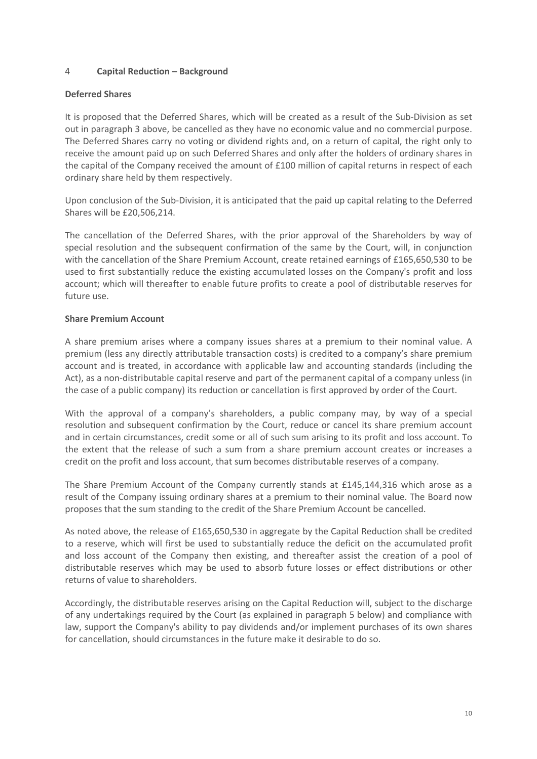#### 4 **Capital Reduction – Background**

#### **Deferred Shares**

It is proposed that the Deferred Shares, which will be created as a result of the Sub-Division as set out in paragraph 3 above, be cancelled as they have no economic value and no commercial purpose. The Deferred Shares carry no voting or dividend rights and, on a return of capital, the right only to receive the amount paid up on such Deferred Shares and only after the holders of ordinary shares in the capital of the Company received the amount of £100 million of capital returns in respect of each ordinary share held by them respectively.

Upon conclusion of the Sub-Division, it is anticipated that the paid up capital relating to the Deferred Shares will be £20,506,214.

The cancellation of the Deferred Shares, with the prior approval of the Shareholders by way of special resolution and the subsequent confirmation of the same by the Court, will, in conjunction with the cancellation of the Share Premium Account, create retained earnings of £165,650,530 to be used to first substantially reduce the existing accumulated losses on the Company's profit and loss account; which will thereafter to enable future profits to create a pool of distributable reserves for future use.

#### **Share Premium Account**

A share premium arises where a company issues shares at a premium to their nominal value. A premium (less any directly attributable transaction costs) is credited to a company's share premium account and is treated, in accordance with applicable law and accounting standards (including the Act), as a non-distributable capital reserve and part of the permanent capital of a company unless (in the case of a public company) its reduction or cancellation is first approved by order of the Court.

With the approval of a company's shareholders, a public company may, by way of a special resolution and subsequent confirmation by the Court, reduce or cancel its share premium account and in certain circumstances, credit some or all of such sum arising to its profit and loss account. To the extent that the release of such a sum from a share premium account creates or increases a credit on the profit and loss account, that sum becomes distributable reserves of a company.

The Share Premium Account of the Company currently stands at £145,144,316 which arose as a result of the Company issuing ordinary shares at a premium to their nominal value. The Board now proposes that the sum standing to the credit of the Share Premium Account be cancelled.

As noted above, the release of £165,650,530 in aggregate by the Capital Reduction shall be credited to a reserve, which will first be used to substantially reduce the deficit on the accumulated profit and loss account of the Company then existing, and thereafter assist the creation of a pool of distributable reserves which may be used to absorb future losses or effect distributions or other returns of value to shareholders.

Accordingly, the distributable reserves arising on the Capital Reduction will, subject to the discharge of any undertakings required by the Court (as explained in paragraph 5 below) and compliance with law, support the Company's ability to pay dividends and/or implement purchases of its own shares for cancellation, should circumstances in the future make it desirable to do so.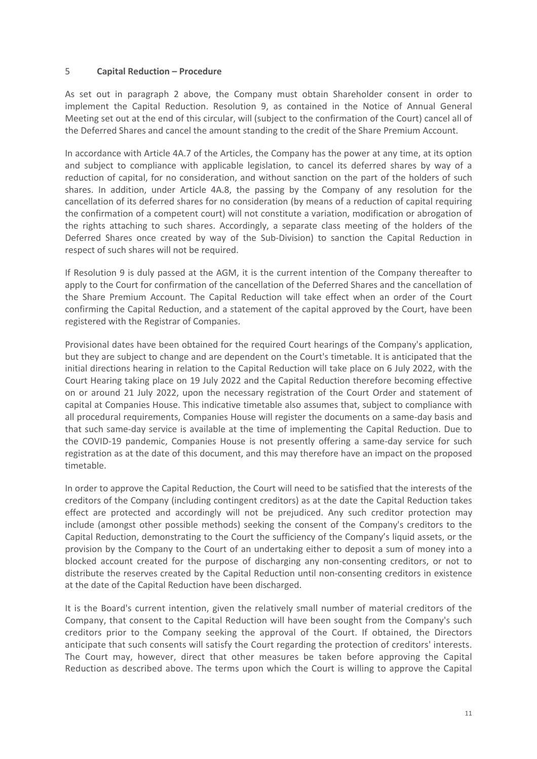#### 5 **Capital Reduction – Procedure**

As set out in paragraph 2 above, the Company must obtain Shareholder consent in order to implement the Capital Reduction. Resolution 9, as contained in the Notice of Annual General Meeting set out at the end of this circular, will (subject to the confirmation of the Court) cancel all of the Deferred Shares and cancel the amount standing to the credit of the Share Premium Account.

In accordance with Article 4A.7 of the Articles, the Company has the power at any time, at its option and subject to compliance with applicable legislation, to cancel its deferred shares by way of a reduction of capital, for no consideration, and without sanction on the part of the holders of such shares. In addition, under Article 4A.8, the passing by the Company of any resolution for the cancellation of its deferred shares for no consideration (by means of a reduction of capital requiring the confirmation of a competent court) will not constitute a variation, modification or abrogation of the rights attaching to such shares. Accordingly, a separate class meeting of the holders of the Deferred Shares once created by way of the Sub-Division) to sanction the Capital Reduction in respect of such shares will not be required.

If Resolution 9 is duly passed at the AGM, it is the current intention of the Company thereafter to apply to the Court for confirmation of the cancellation of the Deferred Shares and the cancellation of the Share Premium Account. The Capital Reduction will take effect when an order of the Court confirming the Capital Reduction, and a statement of the capital approved by the Court, have been registered with the Registrar of Companies.

Provisional dates have been obtained for the required Court hearings of the Company's application, but they are subject to change and are dependent on the Court's timetable. It is anticipated that the initial directions hearing in relation to the Capital Reduction will take place on 6 July 2022, with the Court Hearing taking place on 19 July 2022 and the Capital Reduction therefore becoming effective on or around 21 July 2022, upon the necessary registration of the Court Order and statement of capital at Companies House. This indicative timetable also assumes that, subject to compliance with all procedural requirements, Companies House will register the documents on a same-day basis and that such same-day service is available at the time of implementing the Capital Reduction. Due to the COVID-19 pandemic, Companies House is not presently offering a same-day service for such registration as at the date of this document, and this may therefore have an impact on the proposed timetable.

In order to approve the Capital Reduction, the Court will need to be satisfied that the interests of the creditors of the Company (including contingent creditors) as at the date the Capital Reduction takes effect are protected and accordingly will not be prejudiced. Any such creditor protection may include (amongst other possible methods) seeking the consent of the Company's creditors to the Capital Reduction, demonstrating to the Court the sufficiency of the Company's liquid assets, or the provision by the Company to the Court of an undertaking either to deposit a sum of money into a blocked account created for the purpose of discharging any non-consenting creditors, or not to distribute the reserves created by the Capital Reduction until non-consenting creditors in existence at the date of the Capital Reduction have been discharged.

It is the Board's current intention, given the relatively small number of material creditors of the Company, that consent to the Capital Reduction will have been sought from the Company's such creditors prior to the Company seeking the approval of the Court. If obtained, the Directors anticipate that such consents will satisfy the Court regarding the protection of creditors' interests. The Court may, however, direct that other measures be taken before approving the Capital Reduction as described above. The terms upon which the Court is willing to approve the Capital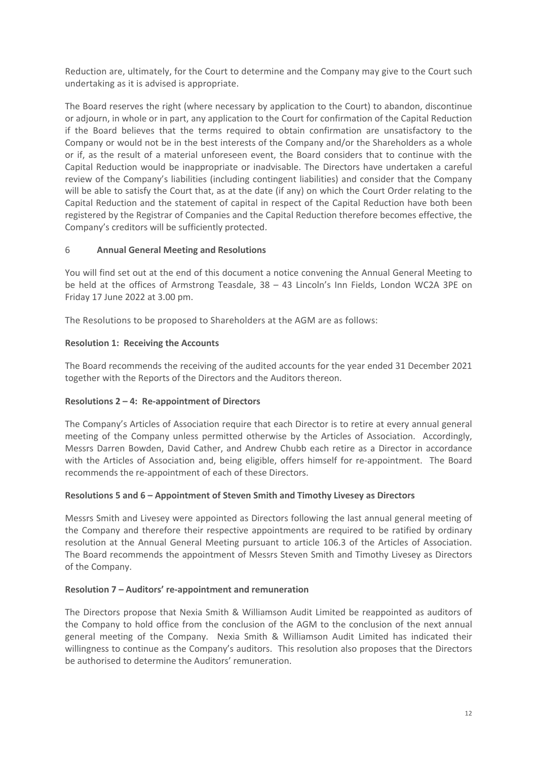Reduction are, ultimately, for the Court to determine and the Company may give to the Court such undertaking as it is advised is appropriate.

The Board reserves the right (where necessary by application to the Court) to abandon, discontinue or adjourn, in whole or in part, any application to the Court for confirmation of the Capital Reduction if the Board believes that the terms required to obtain confirmation are unsatisfactory to the Company or would not be in the best interests of the Company and/or the Shareholders as a whole or if, as the result of a material unforeseen event, the Board considers that to continue with the Capital Reduction would be inappropriate or inadvisable. The Directors have undertaken a careful review of the Company's liabilities (including contingent liabilities) and consider that the Company will be able to satisfy the Court that, as at the date (if any) on which the Court Order relating to the Capital Reduction and the statement of capital in respect of the Capital Reduction have both been registered by the Registrar of Companies and the Capital Reduction therefore becomes effective, the Company's creditors will be sufficiently protected.

#### 6 **Annual General Meeting and Resolutions**

You will find set out at the end of this document a notice convening the Annual General Meeting to be held at the offices of Armstrong Teasdale, 38 – 43 Lincoln's Inn Fields, London WC2A 3PE on Friday 17 June 2022 at 3.00 pm.

The Resolutions to be proposed to Shareholders at the AGM are as follows:

#### **Resolution 1: Receiving the Accounts**

The Board recommends the receiving of the audited accounts for the year ended 31 December 2021 together with the Reports of the Directors and the Auditors thereon.

#### **Resolutions 2 – 4: Re-appointment of Directors**

The Company's Articles of Association require that each Director is to retire at every annual general meeting of the Company unless permitted otherwise by the Articles of Association. Accordingly, Messrs Darren Bowden, David Cather, and Andrew Chubb each retire as a Director in accordance with the Articles of Association and, being eligible, offers himself for re-appointment. The Board recommends the re-appointment of each of these Directors.

#### **Resolutions 5 and 6 – Appointment of Steven Smith and Timothy Livesey as Directors**

Messrs Smith and Livesey were appointed as Directors following the last annual general meeting of the Company and therefore their respective appointments are required to be ratified by ordinary resolution at the Annual General Meeting pursuant to article 106.3 of the Articles of Association. The Board recommends the appointment of Messrs Steven Smith and Timothy Livesey as Directors of the Company.

#### **Resolution 7 – Auditors' re-appointment and remuneration**

The Directors propose that Nexia Smith & Williamson Audit Limited be reappointed as auditors of the Company to hold office from the conclusion of the AGM to the conclusion of the next annual general meeting of the Company. Nexia Smith & Williamson Audit Limited has indicated their willingness to continue as the Company's auditors. This resolution also proposes that the Directors be authorised to determine the Auditors' remuneration.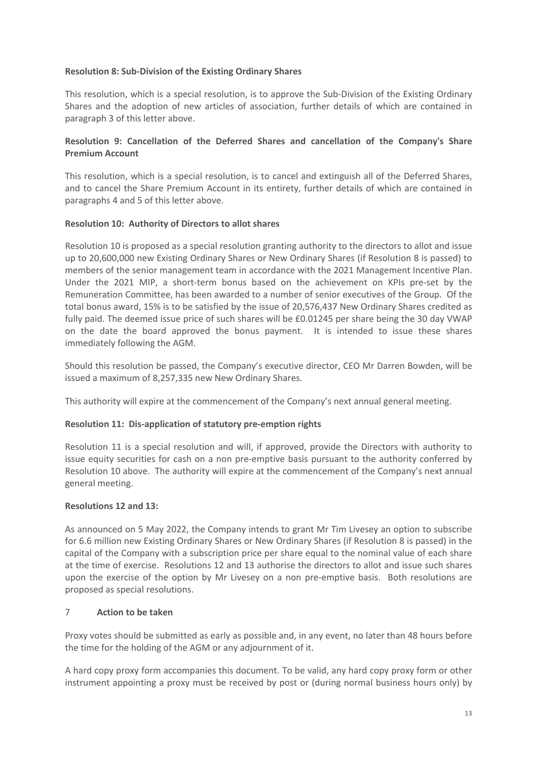#### **Resolution 8: Sub-Division of the Existing Ordinary Shares**

This resolution, which is a special resolution, is to approve the Sub-Division of the Existing Ordinary Shares and the adoption of new articles of association, further details of which are contained in paragraph 3 of this letter above.

#### **Resolution 9: Cancellation of the Deferred Shares and cancellation of the Company's Share Premium Account**

This resolution, which is a special resolution, is to cancel and extinguish all of the Deferred Shares, and to cancel the Share Premium Account in its entirety, further details of which are contained in paragraphs 4 and 5 of this letter above.

#### **Resolution 10: Authority of Directors to allot shares**

Resolution 10 is proposed as a special resolution granting authority to the directors to allot and issue up to 20,600,000 new Existing Ordinary Shares or New Ordinary Shares (if Resolution 8 is passed) to members of the senior management team in accordance with the 2021 Management Incentive Plan. Under the 2021 MIP, a short-term bonus based on the achievement on KPIs pre-set by the Remuneration Committee, has been awarded to a number of senior executives of the Group. Of the total bonus award, 15% is to be satisfied by the issue of 20,576,437 New Ordinary Shares credited as fully paid. The deemed issue price of such shares will be £0.01245 per share being the 30 day VWAP on the date the board approved the bonus payment. It is intended to issue these shares immediately following the AGM.

Should this resolution be passed, the Company's executive director, CEO Mr Darren Bowden, will be issued a maximum of 8,257,335 new New Ordinary Shares.

This authority will expire at the commencement of the Company's next annual general meeting.

#### **Resolution 11: Dis-application of statutory pre-emption rights**

Resolution 11 is a special resolution and will, if approved, provide the Directors with authority to issue equity securities for cash on a non pre-emptive basis pursuant to the authority conferred by Resolution 10 above. The authority will expire at the commencement of the Company's next annual general meeting.

#### **Resolutions 12 and 13:**

As announced on 5 May 2022, the Company intends to grant Mr Tim Livesey an option to subscribe for 6.6 million new Existing Ordinary Shares or New Ordinary Shares (if Resolution 8 is passed) in the capital of the Company with a subscription price per share equal to the nominal value of each share at the time of exercise. Resolutions 12 and 13 authorise the directors to allot and issue such shares upon the exercise of the option by Mr Livesey on a non pre-emptive basis. Both resolutions are proposed as special resolutions.

#### 7 **Action to be taken**

Proxy votes should be submitted as early as possible and, in any event, no later than 48 hours before the time for the holding of the AGM or any adjournment of it.

A hard copy proxy form accompanies this document. To be valid, any hard copy proxy form or other instrument appointing a proxy must be received by post or (during normal business hours only) by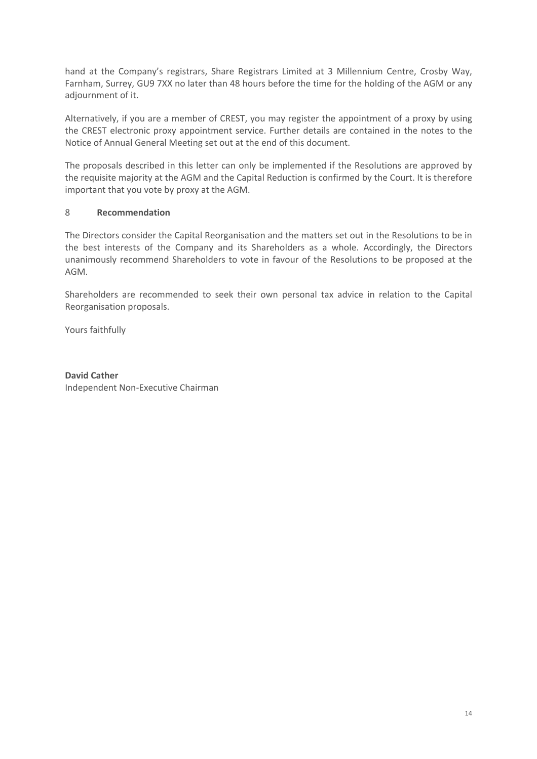hand at the Company's registrars, Share Registrars Limited at 3 Millennium Centre, Crosby Way, Farnham, Surrey, GU9 7XX no later than 48 hours before the time for the holding of the AGM or any adjournment of it.

Alternatively, if you are a member of CREST, you may register the appointment of a proxy by using the CREST electronic proxy appointment service. Further details are contained in the notes to the Notice of Annual General Meeting set out at the end of this document.

The proposals described in this letter can only be implemented if the Resolutions are approved by the requisite majority at the AGM and the Capital Reduction is confirmed by the Court. It is therefore important that you vote by proxy at the AGM.

#### 8 **Recommendation**

The Directors consider the Capital Reorganisation and the matters set out in the Resolutions to be in the best interests of the Company and its Shareholders as a whole. Accordingly, the Directors unanimously recommend Shareholders to vote in favour of the Resolutions to be proposed at the AGM.

Shareholders are recommended to seek their own personal tax advice in relation to the Capital Reorganisation proposals.

Yours faithfully

**David Cather** Independent Non-Executive Chairman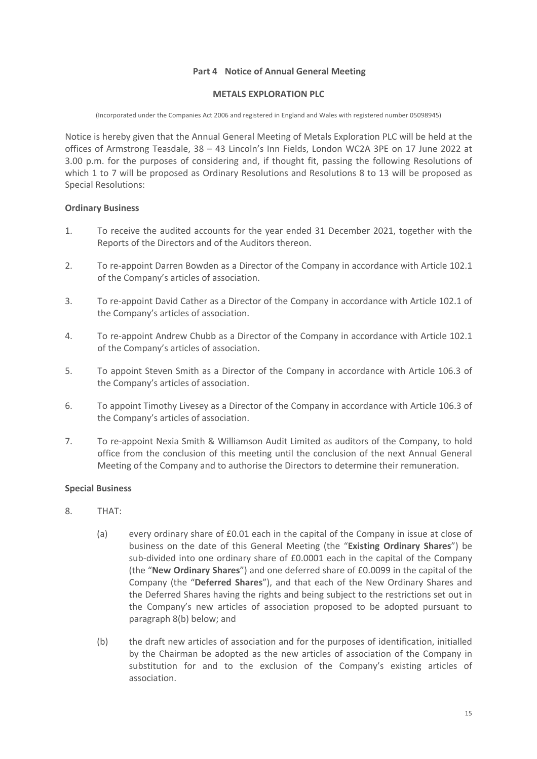#### **Part 4 Notice of Annual General Meeting**

#### **METALS EXPLORATION PLC**

(Incorporated under the Companies Act 2006 and registered in England and Wales with registered number 05098945)

Notice is hereby given that the Annual General Meeting of Metals Exploration PLC will be held at the offices of Armstrong Teasdale, 38 – 43 Lincoln's Inn Fields, London WC2A 3PE on 17 June 2022 at 3.00 p.m. for the purposes of considering and, if thought fit, passing the following Resolutions of which 1 to 7 will be proposed as Ordinary Resolutions and Resolutions 8 to 13 will be proposed as Special Resolutions:

#### **Ordinary Business**

- 1. To receive the audited accounts for the year ended 31 December 2021, together with the Reports of the Directors and of the Auditors thereon.
- 2. To re-appoint Darren Bowden as a Director of the Company in accordance with Article 102.1 of the Company's articles of association.
- 3. To re-appoint David Cather as a Director of the Company in accordance with Article 102.1 of the Company's articles of association.
- 4. To re-appoint Andrew Chubb as a Director of the Company in accordance with Article 102.1 of the Company's articles of association.
- 5. To appoint Steven Smith as a Director of the Company in accordance with Article 106.3 of the Company's articles of association.
- 6. To appoint Timothy Livesey as a Director of the Company in accordance with Article 106.3 of the Company's articles of association.
- 7. To re-appoint Nexia Smith & Williamson Audit Limited as auditors of the Company, to hold office from the conclusion of this meeting until the conclusion of the next Annual General Meeting of the Company and to authorise the Directors to determine their remuneration.

#### **Special Business**

- 8. THAT:
	- (a) every ordinary share of £0.01 each in the capital of the Company in issue at close of business on the date of this General Meeting (the "**Existing Ordinary Shares**") be sub-divided into one ordinary share of £0.0001 each in the capital of the Company (the "**New Ordinary Shares**") and one deferred share of £0.0099 in the capital of the Company (the "**Deferred Shares**"), and that each of the New Ordinary Shares and the Deferred Shares having the rights and being subject to the restrictions set out in the Company's new articles of association proposed to be adopted pursuant to paragraph 8(b) below; and
	- (b) the draft new articles of association and for the purposes of identification, initialled by the Chairman be adopted as the new articles of association of the Company in substitution for and to the exclusion of the Company's existing articles of association.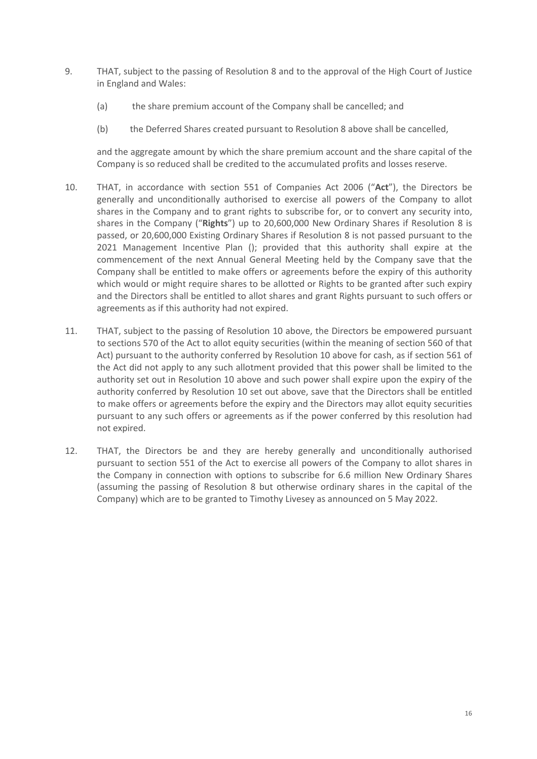- 9. THAT, subject to the passing of Resolution 8 and to the approval of the High Court of Justice in England and Wales:
	- (a) the share premium account of the Company shall be cancelled; and
	- (b) the Deferred Shares created pursuant to Resolution 8 above shall be cancelled,

and the aggregate amount by which the share premium account and the share capital of the Company is so reduced shall be credited to the accumulated profits and losses reserve.

- 10. THAT, in accordance with section 551 of Companies Act 2006 ("**Act**"), the Directors be generally and unconditionally authorised to exercise all powers of the Company to allot shares in the Company and to grant rights to subscribe for, or to convert any security into, shares in the Company ("**Rights**") up to 20,600,000 New Ordinary Shares if Resolution 8 is passed, or 20,600,000 Existing Ordinary Shares if Resolution 8 is not passed pursuant to the 2021 Management Incentive Plan (); provided that this authority shall expire at the commencement of the next Annual General Meeting held by the Company save that the Company shall be entitled to make offers or agreements before the expiry of this authority which would or might require shares to be allotted or Rights to be granted after such expiry and the Directors shall be entitled to allot shares and grant Rights pursuant to such offers or agreements as if this authority had not expired.
- 11. THAT, subject to the passing of Resolution 10 above, the Directors be empowered pursuant to sections 570 of the Act to allot equity securities (within the meaning of section 560 of that Act) pursuant to the authority conferred by Resolution 10 above for cash, as if section 561 of the Act did not apply to any such allotment provided that this power shall be limited to the authority set out in Resolution 10 above and such power shall expire upon the expiry of the authority conferred by Resolution 10 set out above, save that the Directors shall be entitled to make offers or agreements before the expiry and the Directors may allot equity securities pursuant to any such offers or agreements as if the power conferred by this resolution had not expired.
- 12. THAT, the Directors be and they are hereby generally and unconditionally authorised pursuant to section 551 of the Act to exercise all powers of the Company to allot shares in the Company in connection with options to subscribe for 6.6 million New Ordinary Shares (assuming the passing of Resolution 8 but otherwise ordinary shares in the capital of the Company) which are to be granted to Timothy Livesey as announced on 5 May 2022.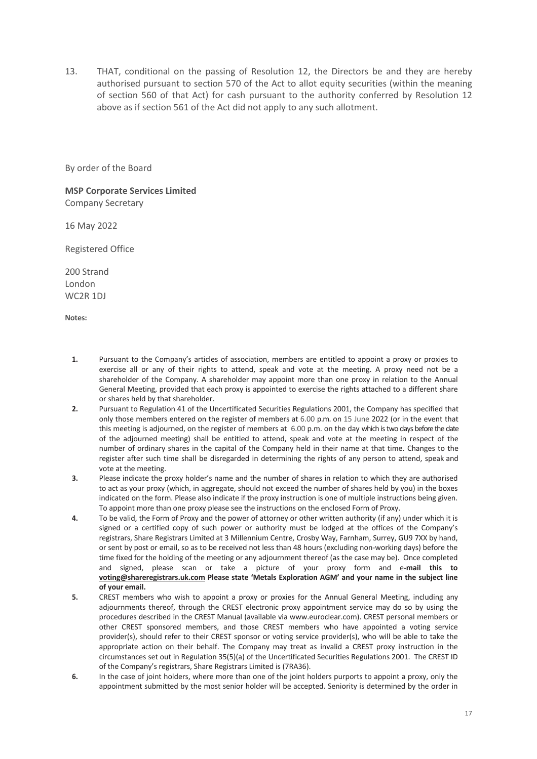13. THAT, conditional on the passing of Resolution 12, the Directors be and they are hereby authorised pursuant to section 570 of the Act to allot equity securities (within the meaning of section 560 of that Act) for cash pursuant to the authority conferred by Resolution 12 above as if section 561 of the Act did not apply to any such allotment.

By order of the Board

**MSP Corporate Services Limited**  Company Secretary

16 May 2022

Registered Office

200 Strand London WC2R 1DJ

**Notes:**

- **1.** Pursuant to the Company's articles of association, members are entitled to appoint a proxy or proxies to exercise all or any of their rights to attend, speak and vote at the meeting. A proxy need not be a shareholder of the Company. A shareholder may appoint more than one proxy in relation to the Annual General Meeting, provided that each proxy is appointed to exercise the rights attached to a different share or shares held by that shareholder.
- **2.** Pursuant to Regulation 41 of the Uncertificated Securities Regulations 2001, the Company has specified that only those members entered on the register of members at 6.00 p.m. on 15 June 2022 (or in the event that this meeting is adjourned, on the register of members at 6.00 p.m. on the day which is two days before the date of the adjourned meeting) shall be entitled to attend, speak and vote at the meeting in respect of the number of ordinary shares in the capital of the Company held in their name at that time. Changes to the register after such time shall be disregarded in determining the rights of any person to attend, speak and vote at the meeting.
- **3.** Please indicate the proxy holder's name and the number of shares in relation to which they are authorised to act as your proxy (which, in aggregate, should not exceed the number of shares held by you) in the boxes indicated on the form. Please also indicate if the proxy instruction is one of multiple instructions being given. To appoint more than one proxy please see the instructions on the enclosed Form of Proxy.
- **4.** To be valid, the Form of Proxy and the power of attorney or other written authority (if any) under which it is signed or a certified copy of such power or authority must be lodged at the offices of the Company's registrars, Share Registrars Limited at 3 Millennium Centre, Crosby Way, Farnham, Surrey, GU9 7XX by hand, or sent by post or email, so as to be received not less than 48 hours (excluding non-working days) before the time fixed for the holding of the meeting or any adjournment thereof (as the case may be). Once completed and signed, please scan or take a picture of your proxy form and e**-mail this to voting@shareregistrars.uk.com Please state 'Metals Exploration AGM' and your name in the subject line of your email.**
- **5.** CREST members who wish to appoint a proxy or proxies for the Annual General Meeting, including any adjournments thereof, through the CREST electronic proxy appointment service may do so by using the procedures described in the CREST Manual (available via www.euroclear.com). CREST personal members or other CREST sponsored members, and those CREST members who have appointed a voting service provider(s), should refer to their CREST sponsor or voting service provider(s), who will be able to take the appropriate action on their behalf. The Company may treat as invalid a CREST proxy instruction in the circumstances set out in Regulation 35(5)(a) of the Uncertificated Securities Regulations 2001. The CREST ID of the Company's registrars, Share Registrars Limited is (7RA36).
- **6.** In the case of joint holders, where more than one of the joint holders purports to appoint a proxy, only the appointment submitted by the most senior holder will be accepted. Seniority is determined by the order in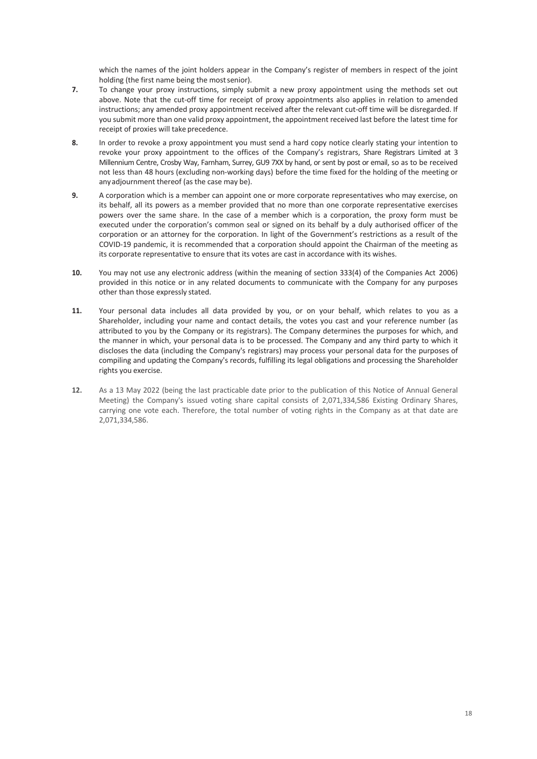which the names of the joint holders appear in the Company's register of members in respect of the joint holding (the first name being the mostsenior).

- **7.** To change your proxy instructions, simply submit a new proxy appointment using the methods set out above. Note that the cut-off time for receipt of proxy appointments also applies in relation to amended instructions; any amended proxy appointment received after the relevant cut-off time will be disregarded. If you submit more than one valid proxy appointment, the appointment received last before the latest time for receipt of proxies will take precedence.
- **8.** In order to revoke a proxy appointment you must send a hard copy notice clearly stating your intention to revoke your proxy appointment to the offices of the Company's registrars, Share Registrars Limited at 3 Millennium Centre, Crosby Way, Farnham, Surrey, GU9 7XX by hand, or sent by post or email, so as to be received not less than 48 hours (excluding non-working days) before the time fixed for the holding of the meeting or anyadjournment thereof (as the case may be).
- **9.** A corporation which is a member can appoint one or more corporate representatives who may exercise, on its behalf, all its powers as a member provided that no more than one corporate representative exercises powers over the same share. In the case of a member which is a corporation, the proxy form must be executed under the corporation's common seal or signed on its behalf by a duly authorised officer of the corporation or an attorney for the corporation. In light of the Government's restrictions as a result of the COVID-19 pandemic, it is recommended that a corporation should appoint the Chairman of the meeting as its corporate representative to ensure that its votes are cast in accordance with its wishes.
- **10.** You may not use any electronic address (within the meaning of section 333(4) of the Companies Act 2006) provided in this notice or in any related documents to communicate with the Company for any purposes other than those expressly stated.
- **11.** Your personal data includes all data provided by you, or on your behalf, which relates to you as a Shareholder, including your name and contact details, the votes you cast and your reference number (as attributed to you by the Company or its registrars). The Company determines the purposes for which, and the manner in which, your personal data is to be processed. The Company and any third party to which it discloses the data (including the Company's registrars) may process your personal data for the purposes of compiling and updating the Company's records, fulfilling its legal obligations and processing the Shareholder rights you exercise.
- **12.** As a 13 May 2022 (being the last practicable date prior to the publication of this Notice of Annual General Meeting) the Company's issued voting share capital consists of 2,071,334,586 Existing Ordinary Shares, carrying one vote each. Therefore, the total number of voting rights in the Company as at that date are 2,071,334,586.